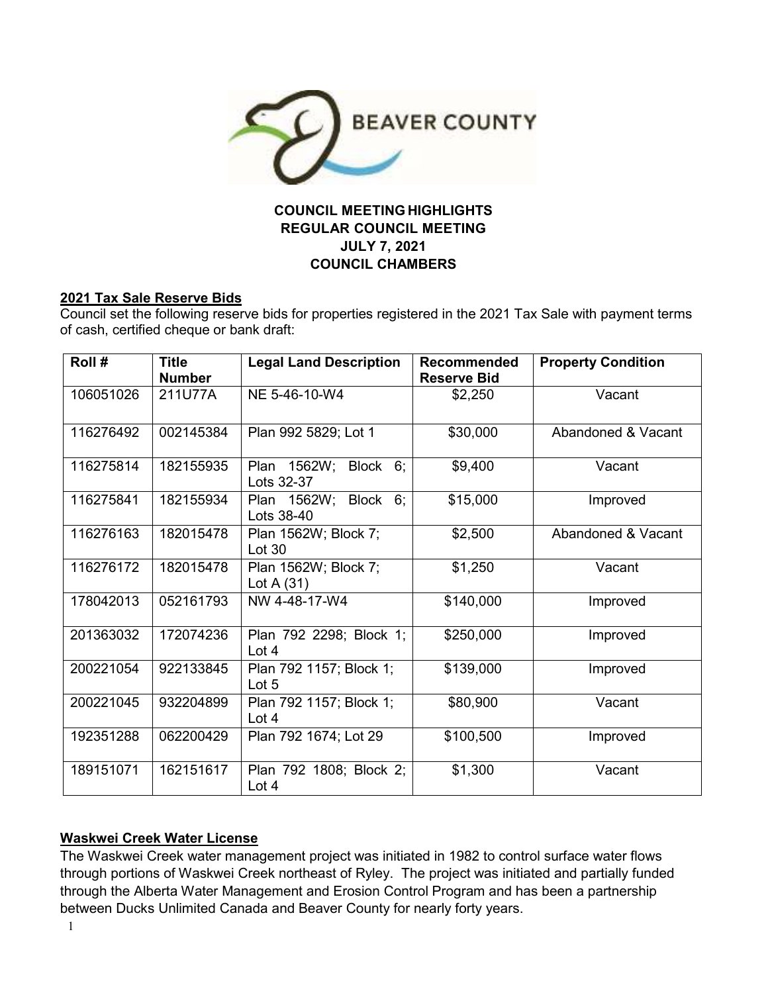

# **COUNCIL MEETING HIGHLIGHTS REGULAR COUNCIL MEETING JULY 7, 2021 COUNCIL CHAMBERS**

#### **2021 Tax Sale Reserve Bids**

Council set the following reserve bids for properties registered in the 2021 Tax Sale with payment terms of cash, certified cheque or bank draft:

| Roll #    | <b>Title</b><br><b>Number</b> | <b>Legal Land Description</b>         | <b>Recommended</b><br><b>Reserve Bid</b> | <b>Property Condition</b> |
|-----------|-------------------------------|---------------------------------------|------------------------------------------|---------------------------|
| 106051026 | 211U77A                       | NE 5-46-10-W4                         | \$2,250                                  | Vacant                    |
| 116276492 | 002145384                     | Plan 992 5829; Lot 1                  | \$30,000                                 | Abandoned & Vacant        |
| 116275814 | 182155935                     | Plan 1562W; Block 6;<br>Lots 32-37    | \$9,400                                  | Vacant                    |
| 116275841 | 182155934                     | Plan 1562W; Block 6;<br>Lots 38-40    | \$15,000                                 | Improved                  |
| 116276163 | 182015478                     | Plan 1562W; Block 7;<br><b>Lot 30</b> | \$2,500                                  | Abandoned & Vacant        |
| 116276172 | 182015478                     | Plan 1562W; Block 7;<br>Lot A $(31)$  | \$1,250                                  | Vacant                    |
| 178042013 | 052161793                     | NW 4-48-17-W4                         | \$140,000                                | Improved                  |
| 201363032 | 172074236                     | Plan 792 2298; Block 1;<br>Lot 4      | \$250,000                                | Improved                  |
| 200221054 | 922133845                     | Plan 792 1157; Block 1;<br>Lot 5      | \$139,000                                | Improved                  |
| 200221045 | 932204899                     | Plan 792 1157; Block 1;<br>Lot $4$    | \$80,900                                 | Vacant                    |
| 192351288 | 062200429                     | Plan 792 1674; Lot 29                 | \$100,500                                | Improved                  |
| 189151071 | 162151617                     | Plan 792 1808; Block 2;<br>Lot $4$    | \$1,300                                  | Vacant                    |

#### **Waskwei Creek Water License**

The Waskwei Creek water management project was initiated in 1982 to control surface water flows through portions of Waskwei Creek northeast of Ryley. The project was initiated and partially funded through the Alberta Water Management and Erosion Control Program and has been a partnership between Ducks Unlimited Canada and Beaver County for nearly forty years.

1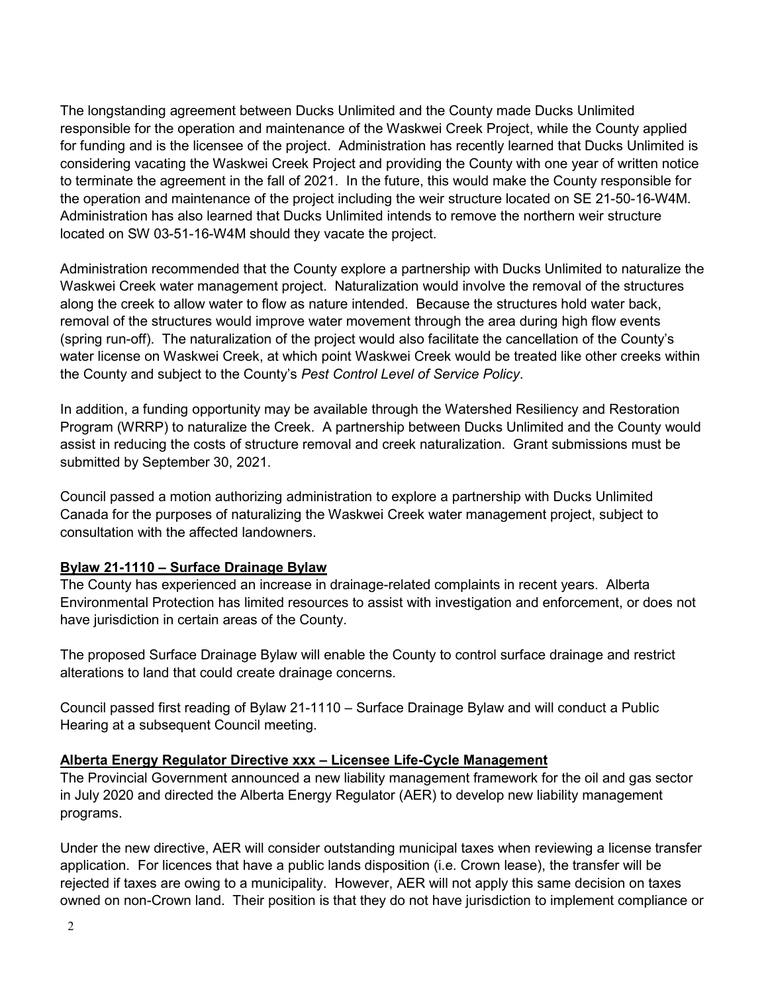The longstanding agreement between Ducks Unlimited and the County made Ducks Unlimited responsible for the operation and maintenance of the Waskwei Creek Project, while the County applied for funding and is the licensee of the project. Administration has recently learned that Ducks Unlimited is considering vacating the Waskwei Creek Project and providing the County with one year of written notice to terminate the agreement in the fall of 2021. In the future, this would make the County responsible for the operation and maintenance of the project including the weir structure located on SE 21-50-16-W4M. Administration has also learned that Ducks Unlimited intends to remove the northern weir structure located on SW 03-51-16-W4M should they vacate the project.

Administration recommended that the County explore a partnership with Ducks Unlimited to naturalize the Waskwei Creek water management project. Naturalization would involve the removal of the structures along the creek to allow water to flow as nature intended. Because the structures hold water back, removal of the structures would improve water movement through the area during high flow events (spring run-off). The naturalization of the project would also facilitate the cancellation of the County's water license on Waskwei Creek, at which point Waskwei Creek would be treated like other creeks within the County and subject to the County's *Pest Control Level of Service Policy*.

In addition, a funding opportunity may be available through the Watershed Resiliency and Restoration Program (WRRP) to naturalize the Creek. A partnership between Ducks Unlimited and the County would assist in reducing the costs of structure removal and creek naturalization. Grant submissions must be submitted by September 30, 2021.

Council passed a motion authorizing administration to explore a partnership with Ducks Unlimited Canada for the purposes of naturalizing the Waskwei Creek water management project, subject to consultation with the affected landowners.

#### **Bylaw 21-1110 – Surface Drainage Bylaw**

The County has experienced an increase in drainage-related complaints in recent years. Alberta Environmental Protection has limited resources to assist with investigation and enforcement, or does not have jurisdiction in certain areas of the County.

The proposed Surface Drainage Bylaw will enable the County to control surface drainage and restrict alterations to land that could create drainage concerns.

Council passed first reading of Bylaw 21-1110 – Surface Drainage Bylaw and will conduct a Public Hearing at a subsequent Council meeting.

### **Alberta Energy Regulator Directive xxx – Licensee Life-Cycle Management**

The Provincial Government announced a new liability management framework for the oil and gas sector in July 2020 and directed the Alberta Energy Regulator (AER) to develop new liability management programs.

Under the new directive, AER will consider outstanding municipal taxes when reviewing a license transfer application. For licences that have a public lands disposition (i.e. Crown lease), the transfer will be rejected if taxes are owing to a municipality. However, AER will not apply this same decision on taxes owned on non-Crown land. Their position is that they do not have jurisdiction to implement compliance or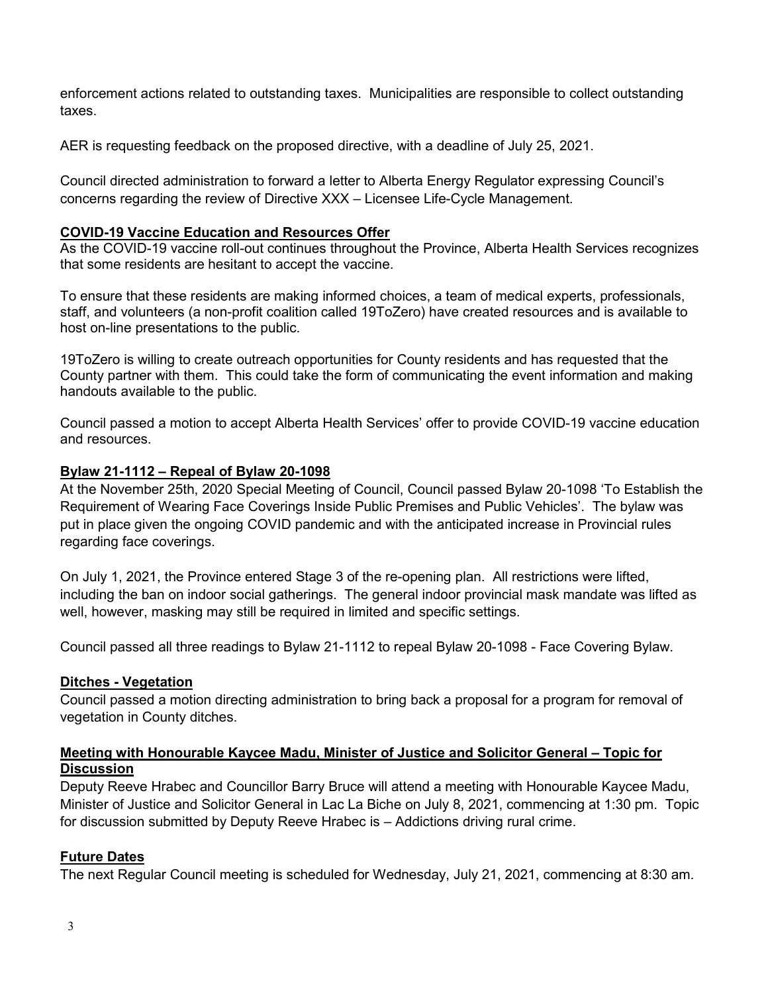enforcement actions related to outstanding taxes. Municipalities are responsible to collect outstanding taxes.

AER is requesting feedback on the proposed directive, with a deadline of July 25, 2021.

Council directed administration to forward a letter to Alberta Energy Regulator expressing Council's concerns regarding the review of Directive XXX – Licensee Life-Cycle Management.

### **COVID-19 Vaccine Education and Resources Offer**

As the COVID-19 vaccine roll-out continues throughout the Province, Alberta Health Services recognizes that some residents are hesitant to accept the vaccine.

To ensure that these residents are making informed choices, a team of medical experts, professionals, staff, and volunteers (a non-profit coalition called 19ToZero) have created resources and is available to host on-line presentations to the public.

19ToZero is willing to create outreach opportunities for County residents and has requested that the County partner with them. This could take the form of communicating the event information and making handouts available to the public.

Council passed a motion to accept Alberta Health Services' offer to provide COVID-19 vaccine education and resources.

### **Bylaw 21-1112 – Repeal of Bylaw 20-1098**

At the November 25th, 2020 Special Meeting of Council, Council passed Bylaw 20-1098 'To Establish the Requirement of Wearing Face Coverings Inside Public Premises and Public Vehicles'. The bylaw was put in place given the ongoing COVID pandemic and with the anticipated increase in Provincial rules regarding face coverings.

On July 1, 2021, the Province entered Stage 3 of the re-opening plan. All restrictions were lifted, including the ban on indoor social gatherings. The general indoor provincial mask mandate was lifted as well, however, masking may still be required in limited and specific settings.

Council passed all three readings to Bylaw 21-1112 to repeal Bylaw 20-1098 - Face Covering Bylaw.

# **Ditches - Vegetation**

Council passed a motion directing administration to bring back a proposal for a program for removal of vegetation in County ditches.

### **Meeting with Honourable Kaycee Madu, Minister of Justice and Solicitor General – Topic for Discussion**

Deputy Reeve Hrabec and Councillor Barry Bruce will attend a meeting with Honourable Kaycee Madu, Minister of Justice and Solicitor General in Lac La Biche on July 8, 2021, commencing at 1:30 pm. Topic for discussion submitted by Deputy Reeve Hrabec is – Addictions driving rural crime.

# **Future Dates**

The next Regular Council meeting is scheduled for Wednesday, July 21, 2021, commencing at 8:30 am.